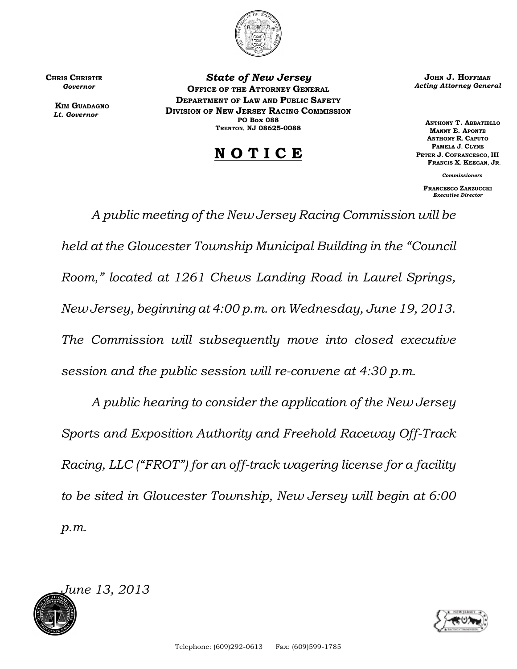

CHRIS CHRISTIE  *Governor*

> **KIM GUADAGNO**  *Lt. Governor*

*State of New Jersey* OFFICE OF THE ATTORNEY GENERAL DEPARTMENT OF LAW AND PUBLIC SAFETY DIVISION OF NEW JERSEY RACING COMMISSION PO Box 088 TRENTON, NJ 08625-0088

## N O T I C E

JOHN J. HOFFMAN *Acting Attorney General*

 ANTHONY T. ABBATIELLO MANNY E. APONTE ANTHONY R. CAPUTO PAMELA J. CLYNE PETER J. COFRANCESCO, III FRANCIS X. KEEGAN, JR.

*Commissioners*

FRANCESCO ZANZUCCKI *Executive Director*

*A public meeting of the New Jersey Racing Commission will be held at the Gloucester Township Municipal Building in the "Council Room," located at 1261 Chews Landing Road in Laurel Springs, New Jersey, beginning at 4:00 p.m. on Wednesday, June 19, 2013. The Commission will subsequently move into closed executive session and the public session will re-convene at 4:30 p.m.*

*A public hearing to consider the application of the New Jersey Sports and Exposition Authority and Freehold Raceway Off-Track Racing, LLC ("FROT") for an off-track wagering license for a facility to be sited in Gloucester Township, New Jersey will begin at 6:00 p.m.*